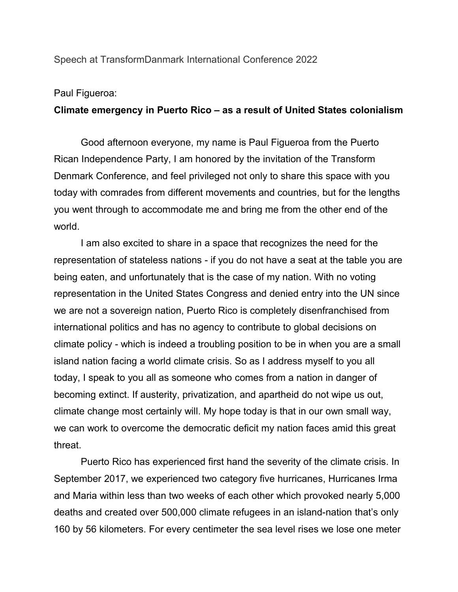Speech at TransformDanmark International Conference 2022

## Paul Figueroa:

## **Climate emergency in Puerto Rico – as a result of United States colonialism**

Good afternoon everyone, my name is Paul Figueroa from the Puerto Rican Independence Party, I am honored by the invitation of the Transform Denmark Conference, and feel privileged not only to share this space with you today with comrades from different movements and countries, but for the lengths you went through to accommodate me and bring me from the other end of the world.

I am also excited to share in a space that recognizes the need for the representation of stateless nations - if you do not have a seat at the table you are being eaten, and unfortunately that is the case of my nation. With no voting representation in the United States Congress and denied entry into the UN since we are not a sovereign nation, Puerto Rico is completely disenfranchised from international politics and has no agency to contribute to global decisions on climate policy - which is indeed a troubling position to be in when you are a small island nation facing a world climate crisis. So as I address myself to you all today, I speak to you all as someone who comes from a nation in danger of becoming extinct. If austerity, privatization, and apartheid do not wipe us out, climate change most certainly will. My hope today is that in our own small way, we can work to overcome the democratic deficit my nation faces amid this great threat.

Puerto Rico has experienced first hand the severity of the climate crisis. In September 2017, we experienced two category five hurricanes, Hurricanes Irma and Maria within less than two weeks of each other which provoked nearly 5,000 deaths and created over 500,000 climate refugees in an island-nation that's only 160 by 56 kilometers. For every centimeter the sea level rises we lose one meter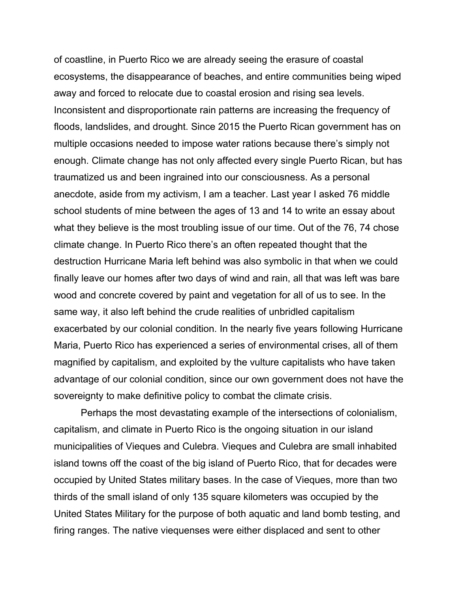of coastline, in Puerto Rico we are already seeing the erasure of coastal ecosystems, the disappearance of beaches, and entire communities being wiped away and forced to relocate due to coastal erosion and rising sea levels. Inconsistent and disproportionate rain patterns are increasing the frequency of floods, landslides, and drought. Since 2015 the Puerto Rican government has on multiple occasions needed to impose water rations because there's simply not enough. Climate change has not only affected every single Puerto Rican, but has traumatized us and been ingrained into our consciousness. As a personal anecdote, aside from my activism, I am a teacher. Last year I asked 76 middle school students of mine between the ages of 13 and 14 to write an essay about what they believe is the most troubling issue of our time. Out of the 76, 74 chose climate change. In Puerto Rico there's an often repeated thought that the destruction Hurricane Maria left behind was also symbolic in that when we could finally leave our homes after two days of wind and rain, all that was left was bare wood and concrete covered by paint and vegetation for all of us to see. In the same way, it also left behind the crude realities of unbridled capitalism exacerbated by our colonial condition. In the nearly five years following Hurricane Maria, Puerto Rico has experienced a series of environmental crises, all of them magnified by capitalism, and exploited by the vulture capitalists who have taken advantage of our colonial condition, since our own government does not have the sovereignty to make definitive policy to combat the climate crisis.

Perhaps the most devastating example of the intersections of colonialism, capitalism, and climate in Puerto Rico is the ongoing situation in our island municipalities of Vieques and Culebra. Vieques and Culebra are small inhabited island towns off the coast of the big island of Puerto Rico, that for decades were occupied by United States military bases. In the case of Vieques, more than two thirds of the small island of only 135 square kilometers was occupied by the United States Military for the purpose of both aquatic and land bomb testing, and firing ranges. The native viequenses were either displaced and sent to other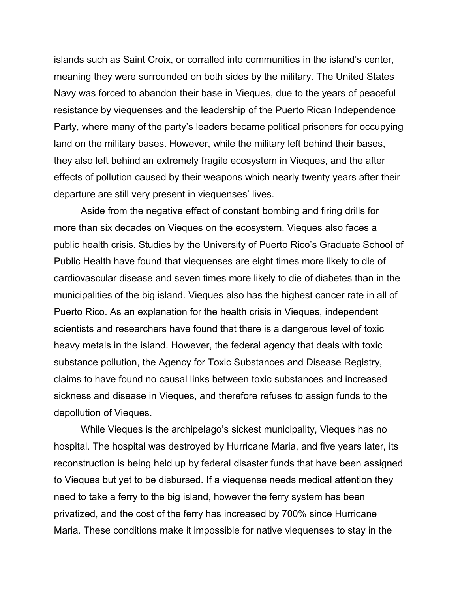islands such as Saint Croix, or corralled into communities in the island's center, meaning they were surrounded on both sides by the military. The United States Navy was forced to abandon their base in Vieques, due to the years of peaceful resistance by viequenses and the leadership of the Puerto Rican Independence Party, where many of the party's leaders became political prisoners for occupying land on the military bases. However, while the military left behind their bases, they also left behind an extremely fragile ecosystem in Vieques, and the after effects of pollution caused by their weapons which nearly twenty years after their departure are still very present in viequenses' lives.

Aside from the negative effect of constant bombing and firing drills for more than six decades on Vieques on the ecosystem, Vieques also faces a public health crisis. Studies by the University of Puerto Rico's Graduate School of Public Health have found that viequenses are eight times more likely to die of cardiovascular disease and seven times more likely to die of diabetes than in the municipalities of the big island. Vieques also has the highest cancer rate in all of Puerto Rico. As an explanation for the health crisis in Vieques, independent scientists and researchers have found that there is a dangerous level of toxic heavy metals in the island. However, the federal agency that deals with toxic substance pollution, the Agency for Toxic Substances and Disease Registry, claims to have found no causal links between toxic substances and increased sickness and disease in Vieques, and therefore refuses to assign funds to the depollution of Vieques.

While Vieques is the archipelago's sickest municipality, Vieques has no hospital. The hospital was destroyed by Hurricane Maria, and five years later, its reconstruction is being held up by federal disaster funds that have been assigned to Vieques but yet to be disbursed. If a viequense needs medical attention they need to take a ferry to the big island, however the ferry system has been privatized, and the cost of the ferry has increased by 700% since Hurricane Maria. These conditions make it impossible for native viequenses to stay in the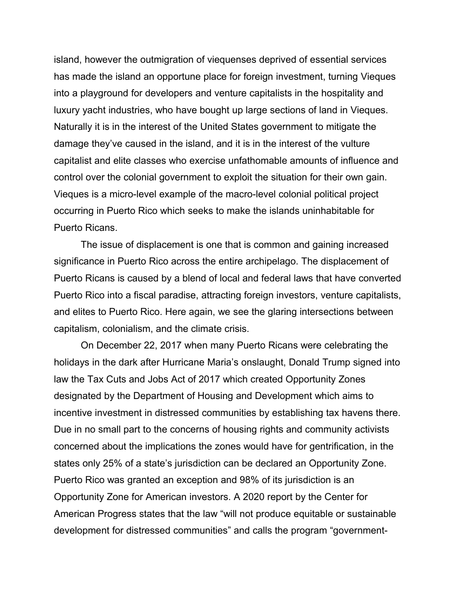island, however the outmigration of viequenses deprived of essential services has made the island an opportune place for foreign investment, turning Vieques into a playground for developers and venture capitalists in the hospitality and luxury yacht industries, who have bought up large sections of land in Vieques. Naturally it is in the interest of the United States government to mitigate the damage they've caused in the island, and it is in the interest of the vulture capitalist and elite classes who exercise unfathomable amounts of influence and control over the colonial government to exploit the situation for their own gain. Vieques is a micro-level example of the macro-level colonial political project occurring in Puerto Rico which seeks to make the islands uninhabitable for Puerto Ricans.

The issue of displacement is one that is common and gaining increased significance in Puerto Rico across the entire archipelago. The displacement of Puerto Ricans is caused by a blend of local and federal laws that have converted Puerto Rico into a fiscal paradise, attracting foreign investors, venture capitalists, and elites to Puerto Rico. Here again, we see the glaring intersections between capitalism, colonialism, and the climate crisis.

On December 22, 2017 when many Puerto Ricans were celebrating the holidays in the dark after Hurricane Maria's onslaught, Donald Trump signed into law the Tax Cuts and Jobs Act of 2017 which created Opportunity Zones designated by the Department of Housing and Development which aims to incentive investment in distressed communities by establishing tax havens there. Due in no small part to the concerns of housing rights and community activists concerned about the implications the zones would have for gentrification, in the states only 25% of a state's jurisdiction can be declared an Opportunity Zone. Puerto Rico was granted an exception and 98% of its jurisdiction is an Opportunity Zone for American investors. A 2020 report by the Center for American Progress states that the law "will not produce equitable or sustainable development for distressed communities" and calls the program "government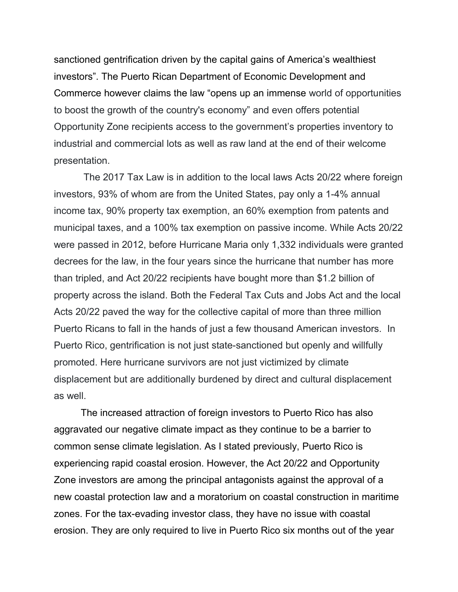sanctioned gentrification driven by the capital gains of America's wealthiest investors". The Puerto Rican Department of Economic Development and Commerce however claims the law "opens up an immense world of opportunities to boost the growth of the country's economy" and even offers potential Opportunity Zone recipients access to the government's properties inventory to industrial and commercial lots as well as raw land at the end of their welcome presentation.

 The 2017 Tax Law is in addition to the local laws Acts 20/22 where foreign investors, 93% of whom are from the United States, pay only a 1-4% annual income tax, 90% property tax exemption, an 60% exemption from patents and municipal taxes, and a 100% tax exemption on passive income. While Acts 20/22 were passed in 2012, before Hurricane Maria only 1,332 individuals were granted decrees for the law, in the four years since the hurricane that number has more than tripled, and Act 20/22 recipients have bought more than \$1.2 billion of property across the island. Both the Federal Tax Cuts and Jobs Act and the local Acts 20/22 paved the way for the collective capital of more than three million Puerto Ricans to fall in the hands of just a few thousand American investors. In Puerto Rico, gentrification is not just state-sanctioned but openly and willfully promoted. Here hurricane survivors are not just victimized by climate displacement but are additionally burdened by direct and cultural displacement as well.

The increased attraction of foreign investors to Puerto Rico has also aggravated our negative climate impact as they continue to be a barrier to common sense climate legislation. As I stated previously, Puerto Rico is experiencing rapid coastal erosion. However, the Act 20/22 and Opportunity Zone investors are among the principal antagonists against the approval of a new coastal protection law and a moratorium on coastal construction in maritime zones. For the tax-evading investor class, they have no issue with coastal erosion. They are only required to live in Puerto Rico six months out of the year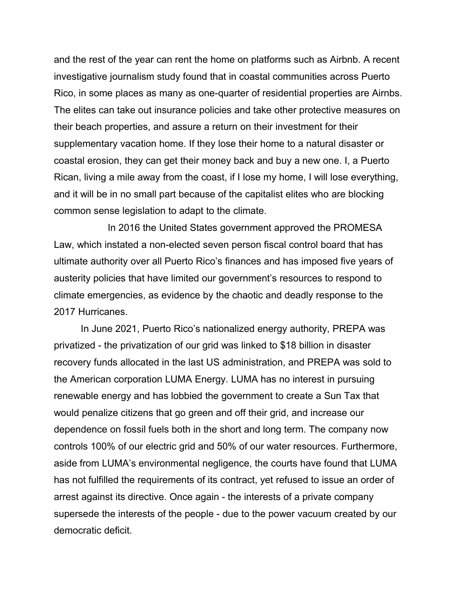and the rest of the year can rent the home on platforms such as Airbnb. A recent investigative journalism study found that in coastal communities across Puerto Rico, in some places as many as one-quarter of residential properties are Airnbs. The elites can take out insurance policies and take other protective measures on their beach properties, and assure a return on their investment for their supplementary vacation home. If they lose their home to a natural disaster or coastal erosion, they can get their money back and buy a new one. I, a Puerto Rican, living a mile away from the coast, if I lose my home, I will lose everything, and it will be in no small part because of the capitalist elites who are blocking common sense legislation to adapt to the climate.

In 2016 the United States government approved the PROMESA Law, which instated a non-elected seven person fiscal control board that has ultimate authority over all Puerto Rico's finances and has imposed five years of austerity policies that have limited our government's resources to respond to climate emergencies, as evidence by the chaotic and deadly response to the 2017 Hurricanes.

In June 2021, Puerto Rico's nationalized energy authority, PREPA was privatized - the privatization of our grid was linked to \$18 billion in disaster recovery funds allocated in the last US administration, and PREPA was sold to the American corporation LUMA Energy. LUMA has no interest in pursuing renewable energy and has lobbied the government to create a Sun Tax that would penalize citizens that go green and off their grid, and increase our dependence on fossil fuels both in the short and long term. The company now controls 100% of our electric grid and 50% of our water resources. Furthermore, aside from LUMA's environmental negligence, the courts have found that LUMA has not fulfilled the requirements of its contract, yet refused to issue an order of arrest against its directive. Once again - the interests of a private company supersede the interests of the people - due to the power vacuum created by our democratic deficit.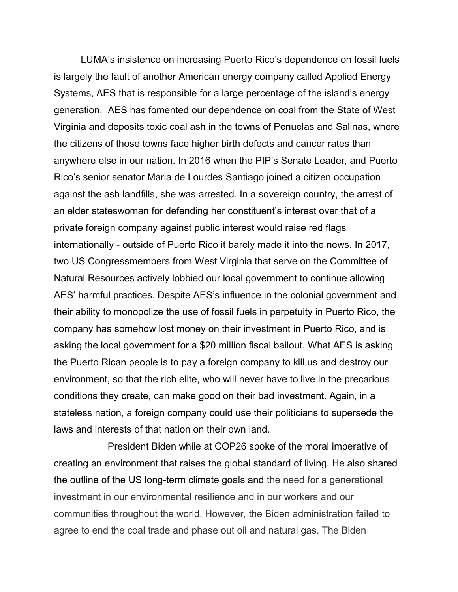LUMA's insistence on increasing Puerto Rico's dependence on fossil fuels is largely the fault of another American energy company called Applied Energy Systems, AES that is responsible for a large percentage of the island's energy generation. AES has fomented our dependence on coal from the State of West Virginia and deposits toxic coal ash in the towns of Penuelas and Salinas, where the citizens of those towns face higher birth defects and cancer rates than anywhere else in our nation. In 2016 when the PIP's Senate Leader, and Puerto Rico's senior senator Maria de Lourdes Santiago joined a citizen occupation against the ash landfills, she was arrested. In a sovereign country, the arrest of an elder stateswoman for defending her constituent's interest over that of a private foreign company against public interest would raise red flags internationally - outside of Puerto Rico it barely made it into the news. In 2017, two US Congressmembers from West Virginia that serve on the Committee of Natural Resources actively lobbied our local government to continue allowing AES' harmful practices. Despite AES's influence in the colonial government and their ability to monopolize the use of fossil fuels in perpetuity in Puerto Rico, the company has somehow lost money on their investment in Puerto Rico, and is asking the local government for a \$20 million fiscal bailout. What AES is asking the Puerto Rican people is to pay a foreign company to kill us and destroy our environment, so that the rich elite, who will never have to live in the precarious conditions they create, can make good on their bad investment. Again, in a stateless nation, a foreign company could use their politicians to supersede the laws and interests of that nation on their own land.

President Biden while at COP26 spoke of the moral imperative of creating an environment that raises the global standard of living. He also shared the outline of the US long-term climate goals and the need for a generational investment in our environmental resilience and in our workers and our communities throughout the world. However, the Biden administration failed to agree to end the coal trade and phase out oil and natural gas. The Biden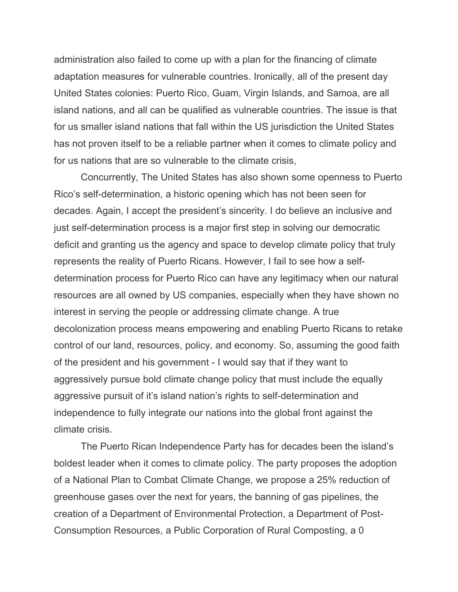administration also failed to come up with a plan for the financing of climate adaptation measures for vulnerable countries. Ironically, all of the present day United States colonies: Puerto Rico, Guam, Virgin Islands, and Samoa, are all island nations, and all can be qualified as vulnerable countries. The issue is that for us smaller island nations that fall within the US jurisdiction the United States has not proven itself to be a reliable partner when it comes to climate policy and for us nations that are so vulnerable to the climate crisis,

Concurrently, The United States has also shown some openness to Puerto Rico's self-determination, a historic opening which has not been seen for decades. Again, I accept the president's sincerity. I do believe an inclusive and just self-determination process is a major first step in solving our democratic deficit and granting us the agency and space to develop climate policy that truly represents the reality of Puerto Ricans. However, I fail to see how a selfdetermination process for Puerto Rico can have any legitimacy when our natural resources are all owned by US companies, especially when they have shown no interest in serving the people or addressing climate change. A true decolonization process means empowering and enabling Puerto Ricans to retake control of our land, resources, policy, and economy. So, assuming the good faith of the president and his government - I would say that if they want to aggressively pursue bold climate change policy that must include the equally aggressive pursuit of it's island nation's rights to self-determination and independence to fully integrate our nations into the global front against the climate crisis.

The Puerto Rican Independence Party has for decades been the island's boldest leader when it comes to climate policy. The party proposes the adoption of a National Plan to Combat Climate Change, we propose a 25% reduction of greenhouse gases over the next for years, the banning of gas pipelines, the creation of a Department of Environmental Protection, a Department of Post-Consumption Resources, a Public Corporation of Rural Composting, a 0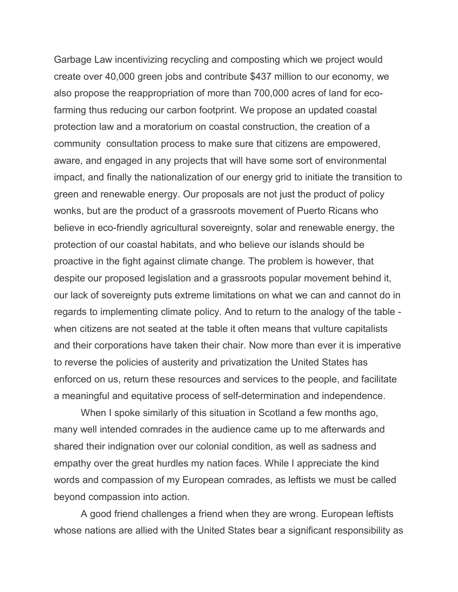Garbage Law incentivizing recycling and composting which we project would create over 40,000 green jobs and contribute \$437 million to our economy, we also propose the reappropriation of more than 700,000 acres of land for ecofarming thus reducing our carbon footprint. We propose an updated coastal protection law and a moratorium on coastal construction, the creation of a community consultation process to make sure that citizens are empowered, aware, and engaged in any projects that will have some sort of environmental impact, and finally the nationalization of our energy grid to initiate the transition to green and renewable energy. Our proposals are not just the product of policy wonks, but are the product of a grassroots movement of Puerto Ricans who believe in eco-friendly agricultural sovereignty, solar and renewable energy, the protection of our coastal habitats, and who believe our islands should be proactive in the fight against climate change. The problem is however, that despite our proposed legislation and a grassroots popular movement behind it, our lack of sovereignty puts extreme limitations on what we can and cannot do in regards to implementing climate policy. And to return to the analogy of the table when citizens are not seated at the table it often means that vulture capitalists and their corporations have taken their chair. Now more than ever it is imperative to reverse the policies of austerity and privatization the United States has enforced on us, return these resources and services to the people, and facilitate a meaningful and equitative process of self-determination and independence.

When I spoke similarly of this situation in Scotland a few months ago, many well intended comrades in the audience came up to me afterwards and shared their indignation over our colonial condition, as well as sadness and empathy over the great hurdles my nation faces. While I appreciate the kind words and compassion of my European comrades, as leftists we must be called beyond compassion into action.

A good friend challenges a friend when they are wrong. European leftists whose nations are allied with the United States bear a significant responsibility as